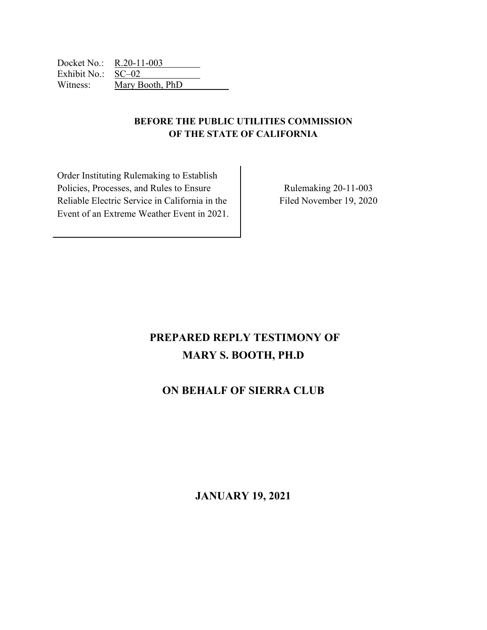Docket No.: R.20-11-003 Exhibit No.: SC–02 Witness: Mary Booth, PhD

# **BEFORE THE PUBLIC UTILITIES COMMISSION OF THE STATE OF CALIFORNIA**

Order Instituting Rulemaking to Establish Policies, Processes, and Rules to Ensure Reliable Electric Service in California in the Event of an Extreme Weather Event in 2021.

Rulemaking 20-11-003 Filed November 19, 2020

# **PREPARED REPLY TESTIMONY OF MARY S. BOOTH, PH.D**

# **ON BEHALF OF SIERRA CLUB**

**JANUARY 19, 2021**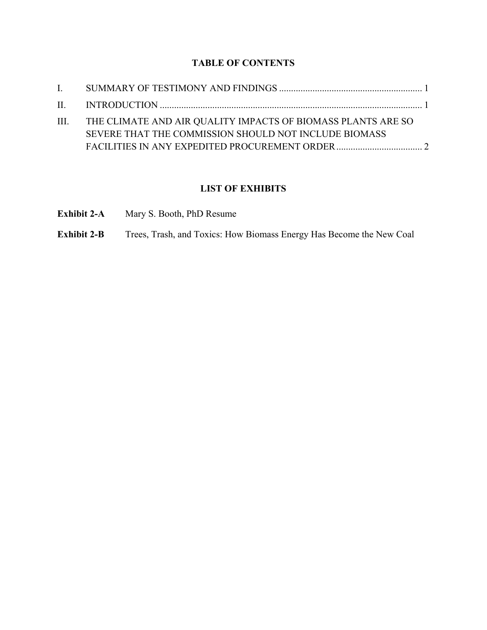# **TABLE OF CONTENTS**

| III. THE CLIMATE AND AIR QUALITY IMPACTS OF BIOMASS PLANTS ARE SO |  |
|-------------------------------------------------------------------|--|
| SEVERE THAT THE COMMISSION SHOULD NOT INCLUDE BIOMASS             |  |
|                                                                   |  |

# **LIST OF EXHIBITS**

| <b>Exhibit 2-A</b> |  |  |  | Mary S. Booth, PhD Resume |
|--------------------|--|--|--|---------------------------|
|--------------------|--|--|--|---------------------------|

**Exhibit 2-B** Trees, Trash, and Toxics: How Biomass Energy Has Become the New Coal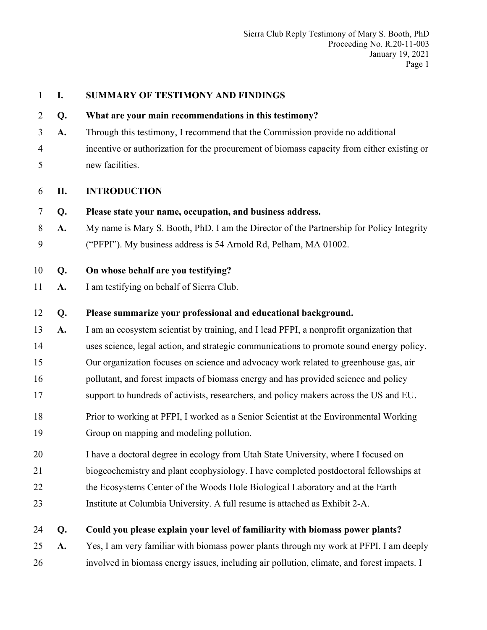| $\mathbf{1}$   | I. | SUMMARY OF TESTIMONY AND FINDINGS                                                          |
|----------------|----|--------------------------------------------------------------------------------------------|
| $\overline{2}$ | Q. | What are your main recommendations in this testimony?                                      |
| 3              | A. | Through this testimony, I recommend that the Commission provide no additional              |
| $\overline{4}$ |    | incentive or authorization for the procurement of biomass capacity from either existing or |
| 5              |    | new facilities.                                                                            |
| 6              | П. | <b>INTRODUCTION</b>                                                                        |
| 7              | Q. | Please state your name, occupation, and business address.                                  |
| 8              | A. | My name is Mary S. Booth, PhD. I am the Director of the Partnership for Policy Integrity   |
| 9              |    | ("PFPI"). My business address is 54 Arnold Rd, Pelham, MA 01002.                           |
| 10             | Q. | On whose behalf are you testifying?                                                        |
| 11             | A. | I am testifying on behalf of Sierra Club.                                                  |
| 12             | Q. | Please summarize your professional and educational background.                             |
| 13             | A. | I am an ecosystem scientist by training, and I lead PFPI, a nonprofit organization that    |
| 14             |    | uses science, legal action, and strategic communications to promote sound energy policy.   |
| 15             |    | Our organization focuses on science and advocacy work related to greenhouse gas, air       |
| 16             |    | pollutant, and forest impacts of biomass energy and has provided science and policy        |
| 17             |    | support to hundreds of activists, researchers, and policy makers across the US and EU.     |
| 18             |    | Prior to working at PFPI, I worked as a Senior Scientist at the Environmental Working      |
| 19             |    | Group on mapping and modeling pollution.                                                   |
| 20             |    | I have a doctoral degree in ecology from Utah State University, where I focused on         |
| 21             |    | biogeochemistry and plant ecophysiology. I have completed postdoctoral fellowships at      |
| 22             |    | the Ecosystems Center of the Woods Hole Biological Laboratory and at the Earth             |
| 23             |    | Institute at Columbia University. A full resume is attached as Exhibit 2-A.                |
| 24             | Q. | Could you please explain your level of familiarity with biomass power plants?              |
| 25             | A. | Yes, I am very familiar with biomass power plants through my work at PFPI. I am deeply     |
| 26             |    | involved in biomass energy issues, including air pollution, climate, and forest impacts. I |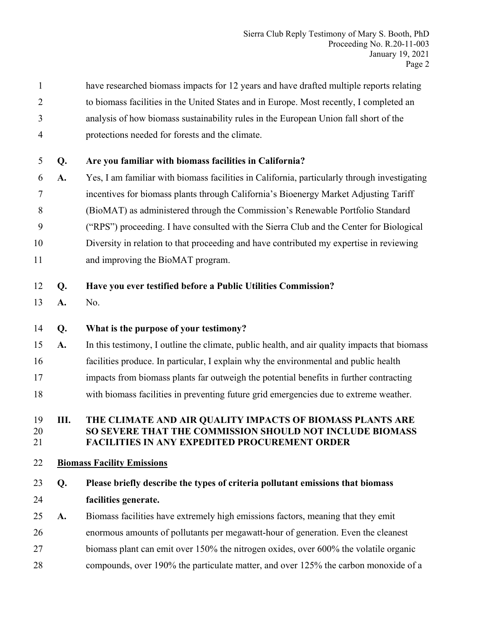1 have researched biomass impacts for 12 years and have drafted multiple reports relating 2 to biomass facilities in the United States and in Europe. Most recently, I completed an 3 analysis of how biomass sustainability rules in the European Union fall short of the 4 protections needed for forests and the climate.

## 5 **Q. Are you familiar with biomass facilities in California?**

- 6 **A.** Yes, I am familiar with biomass facilities in California, particularly through investigating 7 incentives for biomass plants through California's Bioenergy Market Adjusting Tariff 8 (BioMAT) as administered through the Commission's Renewable Portfolio Standard 9 ("RPS") proceeding. I have consulted with the Sierra Club and the Center for Biological 10 Diversity in relation to that proceeding and have contributed my expertise in reviewing
- 11 and improving the BioMAT program.

## 12 **Q. Have you ever testified before a Public Utilities Commission?**

13 **A.** No.

## 14 **Q. What is the purpose of your testimony?**

- 15 **A.** In this testimony, I outline the climate, public health, and air quality impacts that biomass 16 facilities produce. In particular, I explain why the environmental and public health
- 17 impacts from biomass plants far outweigh the potential benefits in further contracting
- 18 with biomass facilities in preventing future grid emergencies due to extreme weather.

#### 19 **III. THE CLIMATE AND AIR QUALITY IMPACTS OF BIOMASS PLANTS ARE**  20 **SO SEVERE THAT THE COMMISSION SHOULD NOT INCLUDE BIOMASS**  21 **FACILITIES IN ANY EXPEDITED PROCUREMENT ORDER**

## 22 **Biomass Facility Emissions**

- 23 **Q. Please briefly describe the types of criteria pollutant emissions that biomass**  24 **facilities generate.**
- 25 **A.** Biomass facilities have extremely high emissions factors, meaning that they emit
- 26 enormous amounts of pollutants per megawatt-hour of generation. Even the cleanest
- 27 biomass plant can emit over 150% the nitrogen oxides, over 600% the volatile organic
- 28 compounds, over 190% the particulate matter, and over 125% the carbon monoxide of a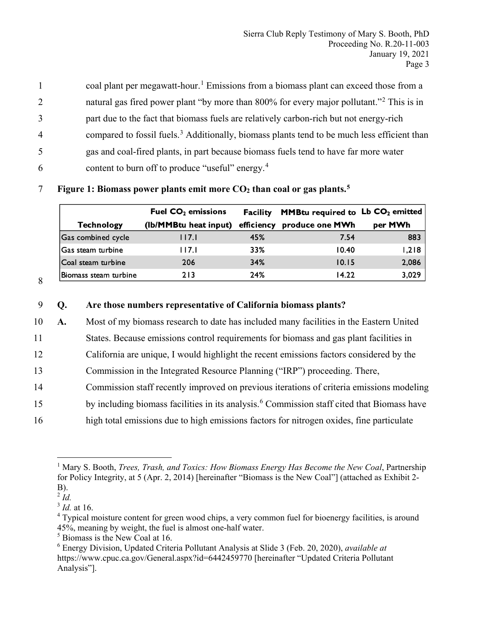coal plant per megawatt-hour.<sup>1</sup> Emissions from a biomass plant can exceed those from a 2 hatter natural gas fired power plant "by more than  $800\%$  for every major pollutant." <sup>2</sup> This is in 3 part due to the fact that biomass fuels are relatively carbon-rich but not energy-rich 4 compared to fossil fuels.<sup>3</sup> Additionally, biomass plants tend to be much less efficient than 5 gas and coal-fired plants, in part because biomass fuels tend to have far more water 6 content to burn off to produce "useful" energy. $4$ 

|                       | Fuel $CO2$ emissions  | Facility   | <b>MMBtu required to Lb CO<sub>2</sub></b> emitted |         |
|-----------------------|-----------------------|------------|----------------------------------------------------|---------|
| <b>Technology</b>     | (Ib/MMBtu heat input) | efficiency | produce one MWh                                    | per MWh |
| Gas combined cycle    | 117.1                 | 45%        | 7.54                                               | 883     |
| Gas steam turbine     | 117.I                 | 33%        | 10.40                                              | 1,218   |
| Coal steam turbine    | 206                   | 34%        | 10.15                                              | 2,086   |
| Biomass steam turbine | 213                   | 24%        | 14.22                                              | 3,029   |

#### **Figure 1: Biomass power plants emit more**  $CO<sub>2</sub>$  **than coal or gas plants.**<sup>5</sup>

8

# 9 **Q. Are those numbers representative of California biomass plants?**  10 **A.** Most of my biomass research to date has included many facilities in the Eastern United 11 States. Because emissions control requirements for biomass and gas plant facilities in 12 California are unique, I would highlight the recent emissions factors considered by the 13 Commission in the Integrated Resource Planning ("IRP") proceeding. There, 14 Commission staff recently improved on previous iterations of criteria emissions modeling 15 by including biomass facilities in its analysis.<sup>6</sup> Commission staff cited that Biomass have 16 high total emissions due to high emissions factors for nitrogen oxides, fine particulate

 $\overline{a}$ <sup>1</sup> Mary S. Booth, *Trees, Trash, and Toxics: How Biomass Energy Has Become the New Coal, Partnership* for Policy Integrity, at 5 (Apr. 2, 2014) [hereinafter "Biomass is the New Coal"] (attached as Exhibit 2- B).

 $\frac{2}{3}$ *Id.* at 16.

<sup>&</sup>lt;sup>4</sup> Typical moisture content for green wood chips, a very common fuel for bioenergy facilities, is around 45%, meaning by weight, the fuel is almost one-half water.

<sup>5</sup> Biomass is the New Coal at 16.

<sup>6</sup> Energy Division, Updated Criteria Pollutant Analysis at Slide 3 (Feb. 20, 2020), *available at* https://www.cpuc.ca.gov/General.aspx?id=6442459770 [hereinafter "Updated Criteria Pollutant Analysis"].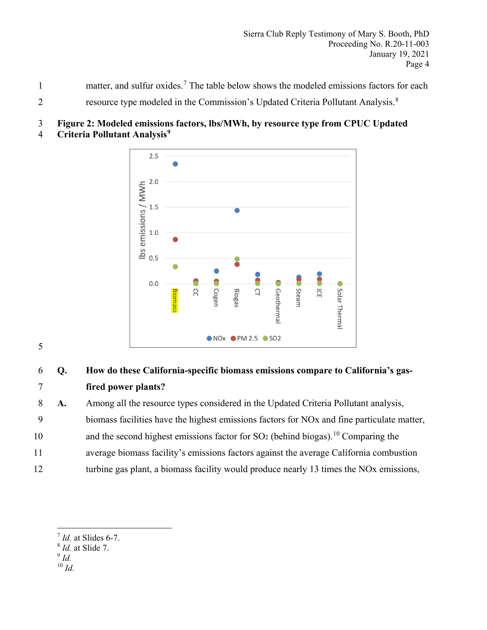- matter, and sulfur oxides.<sup>7</sup> The table below shows the modeled emissions factors for each
- resource type modeled in the Commission's Updated Criteria Pollutant Analysis.<sup>8</sup> 2

## 3 **Figure 2: Modeled emissions factors, lbs/MWh, by resource type from CPUC Updated**

**Criteria Pollutant Analysis9** 4



5

# 6 **Q. How do these California-specific biomass emissions compare to California's gas-**7 **fired power plants?**

8 **A.** Among all the resource types considered in the Updated Criteria Pollutant analysis,

- 9 biomass facilities have the highest emissions factors for NOx and fine particulate matter,
- 10 and the second highest emissions factor for  $SO<sub>2</sub>$  (behind biogas).<sup>10</sup> Comparing the
- 11 average biomass facility's emissions factors against the average California combustion
- 12 turbine gas plant, a biomass facility would produce nearly 13 times the NOx emissions,

<sup>9</sup> *Id.* 

 $\overline{a}$ 

<sup>10</sup> *Id.*

<sup>7</sup> *Id.* at Slides 6-7.

<sup>8</sup> *Id.* at Slide 7.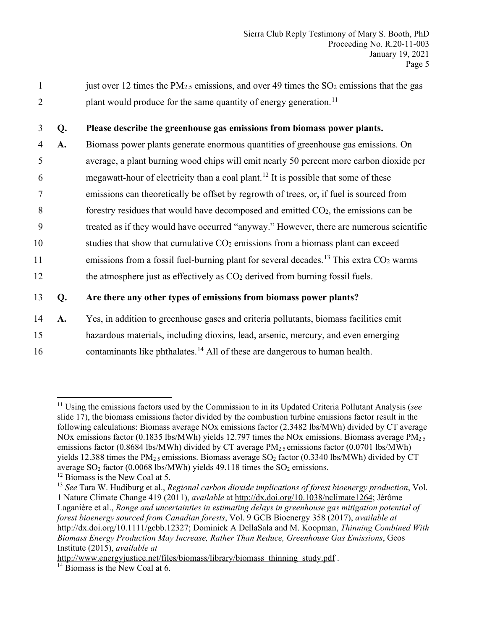1 just over 12 times the PM<sub>2.5</sub> emissions, and over 49 times the  $SO<sub>2</sub>$  emissions that the gas 2 plant would produce for the same quantity of energy generation.<sup>11</sup>

#### 3 **Q. Please describe the greenhouse gas emissions from biomass power plants.**

4 **A.** Biomass power plants generate enormous quantities of greenhouse gas emissions. On 5 average, a plant burning wood chips will emit nearly 50 percent more carbon dioxide per 6 megawatt-hour of electricity than a coal plant.<sup>12</sup> It is possible that some of these 7 emissions can theoretically be offset by regrowth of trees, or, if fuel is sourced from  $8$  forestry residues that would have decomposed and emitted  $CO<sub>2</sub>$ , the emissions can be 9 treated as if they would have occurred "anyway." However, there are numerous scientific 10 studies that show that cumulative  $CO<sub>2</sub>$  emissions from a biomass plant can exceed 11 emissions from a fossil fuel-burning plant for several decades.<sup>13</sup> This extra  $CO<sub>2</sub>$  warms 12 the atmosphere just as effectively as  $CO<sub>2</sub>$  derived from burning fossil fuels.

## 13 **Q. Are there any other types of emissions from biomass power plants?**

14 **A.** Yes, in addition to greenhouse gases and criteria pollutants, biomass facilities emit 15 hazardous materials, including dioxins, lead, arsenic, mercury, and even emerging

16 contaminants like phthalates.<sup>14</sup> All of these are dangerous to human health.

 $\overline{a}$ <sup>11</sup> Using the emissions factors used by the Commission to in its Updated Criteria Pollutant Analysis (*see* slide 17), the biomass emissions factor divided by the combustion turbine emissions factor result in the following calculations: Biomass average NOx emissions factor (2.3482 lbs/MWh) divided by CT average NOx emissions factor (0.1835 lbs/MWh) yields 12.797 times the NOx emissions. Biomass average  $PM_{25}$ emissions factor (0.8684 lbs/MWh) divided by CT average  $PM_2$  semissions factor (0.0701 lbs/MWh) yields 12.388 times the PM<sub>2.5</sub> emissions. Biomass average SO<sub>2</sub> factor (0.3340 lbs/MWh) divided by CT average  $SO_2$  factor (0.0068 lbs/MWh) yields 49.118 times the  $SO_2$  emissions.

 $12$  Biomass is the New Coal at 5.

<sup>13</sup> *See* Tara W. Hudiburg et al., *Regional carbon dioxide implications of forest bioenergy production*, Vol. 1 Nature Climate Change 419 (2011), *available* at http://dx.doi.org/10.1038/nclimate1264; Jérôme Laganière et al., *Range and uncertainties in estimating delays in greenhouse gas mitigation potential of forest bioenergy sourced from Canadian forests*, Vol. 9 GCB Bioenergy 358 (2017), *available at*  http://dx.doi.org/10.1111/gcbb.12327; Dominick A DellaSala and M. Koopman, *Thinning Combined With Biomass Energy Production May Increase, Rather Than Reduce, Greenhouse Gas Emissions*, Geos Institute (2015), *available at* 

http://www.energyjustice.net/files/biomass/library/biomass thinning study.pdf .

 $14$  Biomass is the New Coal at 6.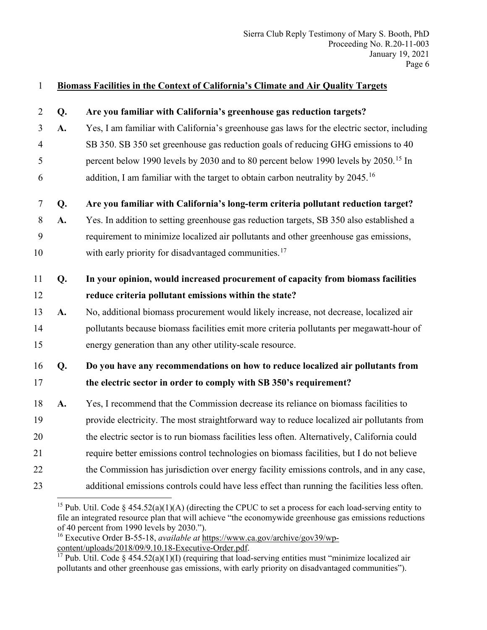## 1 **Biomass Facilities in the Context of California's Climate and Air Quality Targets**

| $\overline{2}$ | Q. | Are you familiar with California's greenhouse gas reduction targets?                            |
|----------------|----|-------------------------------------------------------------------------------------------------|
| 3              | A. | Yes, I am familiar with California's greenhouse gas laws for the electric sector, including     |
| $\overline{4}$ |    | SB 350. SB 350 set greenhouse gas reduction goals of reducing GHG emissions to 40               |
| 5              |    | percent below 1990 levels by 2030 and to 80 percent below 1990 levels by 2050. <sup>15</sup> In |
| 6              |    | addition, I am familiar with the target to obtain carbon neutrality by 2045. <sup>16</sup>      |
| $\tau$         | Q. | Are you familiar with California's long-term criteria pollutant reduction target?               |
| 8              | A. | Yes. In addition to setting greenhouse gas reduction targets, SB 350 also established a         |
| 9              |    | requirement to minimize localized air pollutants and other greenhouse gas emissions,            |
| 10             |    | with early priority for disadvantaged communities. <sup>17</sup>                                |
| 11             | Q. | In your opinion, would increased procurement of capacity from biomass facilities                |
| 12             |    | reduce criteria pollutant emissions within the state?                                           |
| 13             | A. | No, additional biomass procurement would likely increase, not decrease, localized air           |
| 14             |    | pollutants because biomass facilities emit more criteria pollutants per megawatt-hour of        |
| 15             |    | energy generation than any other utility-scale resource.                                        |
| 16             | Q. | Do you have any recommendations on how to reduce localized air pollutants from                  |
| 17             |    | the electric sector in order to comply with SB 350's requirement?                               |
| 18             | A. | Yes, I recommend that the Commission decrease its reliance on biomass facilities to             |
| 19             |    | provide electricity. The most straightforward way to reduce localized air pollutants from       |
| 20             |    | the electric sector is to run biomass facilities less often. Alternatively, California could    |
| 21             |    | require better emissions control technologies on biomass facilities, but I do not believe       |
| 22             |    | the Commission has jurisdiction over energy facility emissions controls, and in any case,       |
| 23             |    | additional emissions controls could have less effect than running the facilities less often.    |

<sup>&</sup>lt;sup>15</sup> Pub. Util. Code § 454.52(a)(1)(A) (directing the CPUC to set a process for each load-serving entity to file an integrated resource plan that will achieve "the economywide greenhouse gas emissions reductions of 40 percent from 1990 levels by 2030.").

<sup>16</sup> Executive Order B-55-18, *available at* https://www.ca.gov/archive/gov39/wpcontent/uploads/2018/09/9.10.18-Executive-Order.pdf.

<sup>&</sup>lt;sup>17</sup> Pub. Util. Code § 454.52(a)(1)(I) (requiring that load-serving entities must "minimize localized air pollutants and other greenhouse gas emissions, with early priority on disadvantaged communities").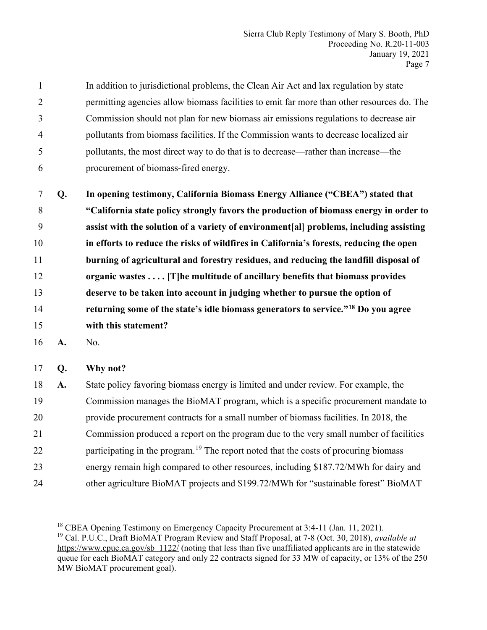1 In addition to jurisdictional problems, the Clean Air Act and lax regulation by state 2 permitting agencies allow biomass facilities to emit far more than other resources do. The 3 Commission should not plan for new biomass air emissions regulations to decrease air 4 pollutants from biomass facilities. If the Commission wants to decrease localized air 5 pollutants, the most direct way to do that is to decrease—rather than increase—the 6 procurement of biomass-fired energy.

**Q. In opening testimony, California Biomass Energy Alliance ("CBEA") stated that "California state policy strongly favors the production of biomass energy in order to assist with the solution of a variety of environment[al] problems, including assisting in efforts to reduce the risks of wildfires in California's forests, reducing the open burning of agricultural and forestry residues, and reducing the landfill disposal of organic wastes . . . . [T]he multitude of ancillary benefits that biomass provides deserve to be taken into account in judging whether to pursue the option of returning some of the state's idle biomass generators to service."18** 14 **Do you agree with this statement?**

16 **A.** No.

17 **Q. Why not?** 

18 **A.** State policy favoring biomass energy is limited and under review. For example, the 19 Commission manages the BioMAT program, which is a specific procurement mandate to 20 provide procurement contracts for a small number of biomass facilities. In 2018, the 21 Commission produced a report on the program due to the very small number of facilities 22 participating in the program.<sup>19</sup> The report noted that the costs of procuring biomass 23 energy remain high compared to other resources, including \$187.72/MWh for dairy and 24 other agriculture BioMAT projects and \$199.72/MWh for "sustainable forest" BioMAT

<sup>&</sup>lt;sup>18</sup> CBEA Opening Testimony on Emergency Capacity Procurement at  $3:4-11$  (Jan. 11, 2021).

<sup>&</sup>lt;sup>19</sup> Cal. P.U.C., Draft BioMAT Program Review and Staff Proposal, at 7-8 (Oct. 30, 2018), *available at* https://www.cpuc.ca.gov/sb 1122/ (noting that less than five unaffiliated applicants are in the statewide queue for each BioMAT category and only 22 contracts signed for 33 MW of capacity, or 13% of the 250 MW BioMAT procurement goal).